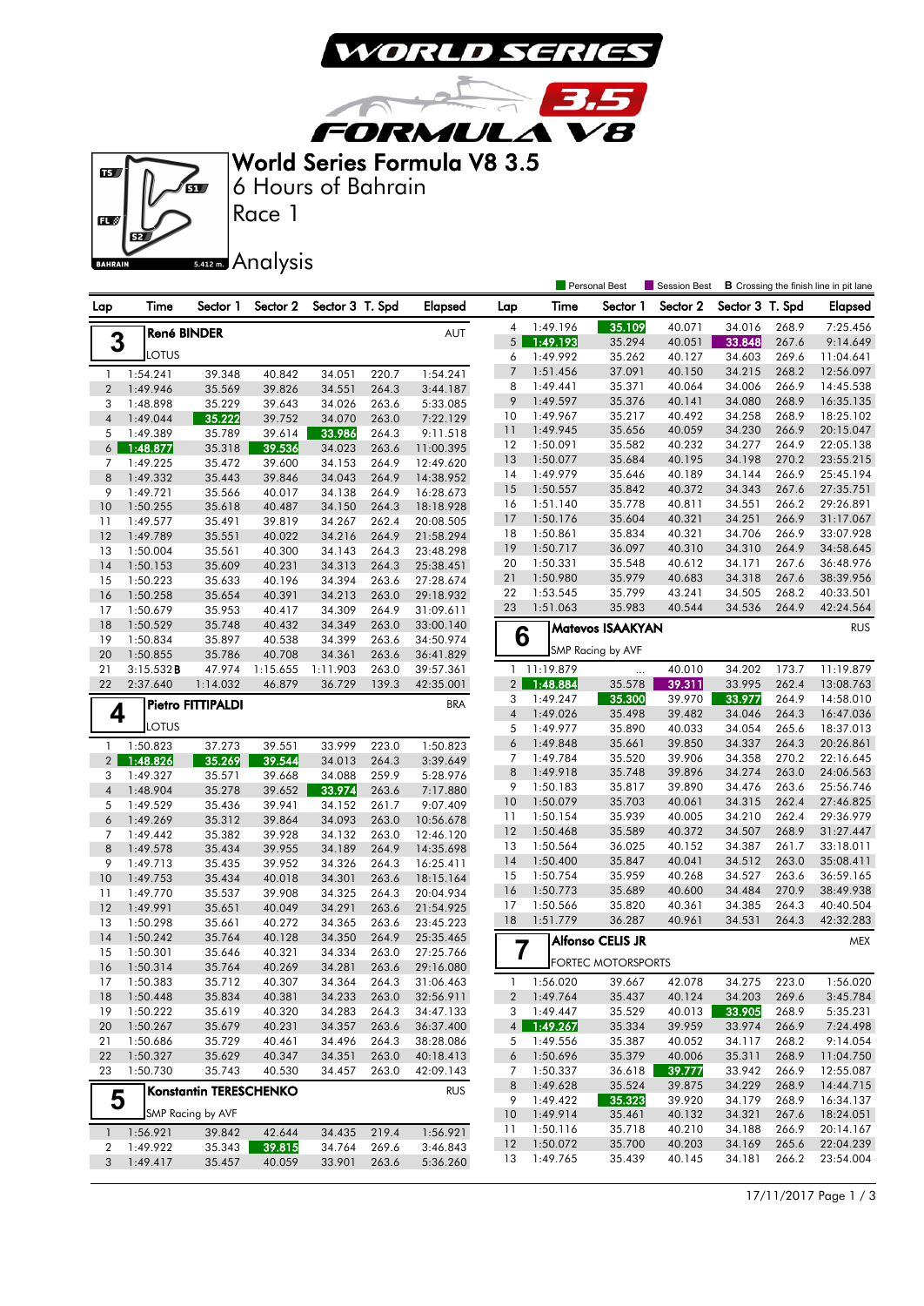

3.5

**FORMULA V8** World Series Formula V8 3.5

 $\sqrt{2}$ 



Race 1 6 Hours of Bahrain

## 5.412 m. Analysis

|                |                      |                               |                  |                  |                |                        |                         |                      | Personal Best      | Session Best     |                  |                | <b>B</b> Crossing the finish line in pit lane |
|----------------|----------------------|-------------------------------|------------------|------------------|----------------|------------------------|-------------------------|----------------------|--------------------|------------------|------------------|----------------|-----------------------------------------------|
| Lap            | Time                 | Sector 1                      | Sector 2         | Sector 3 T. Spd  |                | <b>Elapsed</b>         | Lap                     | Time                 | Sector 1           | Sector 2         | Sector 3 T. Spd  |                | <b>Elapsed</b>                                |
|                | <b>René BINDER</b>   |                               |                  |                  |                | AUT                    | 4                       | 1:49.196             | 35.109             | 40.071           | 34.016           | 268.9          | 7:25.456                                      |
| 3              |                      |                               |                  |                  |                |                        | 5 <sup>1</sup>          | 1:49.193             | 35.294             | 40.051           | 33.848           | 267.6          | 9:14.649                                      |
|                | LOTUS                |                               |                  |                  |                |                        | 6                       | 1:49.992             | 35.262             | 40.127           | 34.603           | 269.6          | 11:04.641                                     |
| 1              | 1:54.241             | 39.348                        | 40.842           | 34.051           | 220.7          | 1:54.241               | $7\overline{ }$         | 1:51.456             | 37.091             | 40.150           | 34.215           | 268.2          | 12:56.097                                     |
| $\overline{2}$ | 1:49.946             | 35.569                        | 39.826           | 34.551           | 264.3          | 3:44.187               | 8                       | 1:49.441             | 35.371             | 40.064           | 34.006           | 266.9          | 14:45.538                                     |
| 3              | 1:48.898             | 35.229                        | 39.643           | 34.026           | 263.6          | 5:33.085               | 9                       | 1:49.597             | 35.376             | 40.141           | 34.080           | 268.9          | 16:35.135                                     |
| $\overline{4}$ | 1:49.044             | 35.222                        | 39.752           | 34.070           | 263.0          | 7:22.129               | 10                      | 1:49.967             | 35.217             | 40.492           | 34.258           | 268.9          | 18:25.102                                     |
| 5              | 1:49.389             | 35.789                        | 39.614           | 33.986           | 264.3          | 9:11.518               | 11                      | 1:49.945             | 35.656             | 40.059           | 34.230           | 266.9          | 20:15.047                                     |
| 6              | 1:48.877             | 35.318                        | 39.536           | 34.023           | 263.6          | 11:00.395              | 12                      | 1:50.091             | 35.582             | 40.232           | 34.277           | 264.9          | 22:05.138                                     |
| 7              | 1:49.225             | 35.472                        | 39.600           | 34.153           | 264.9          | 12:49.620              | 13<br>14                | 1:50.077<br>1:49.979 | 35.684<br>35.646   | 40.195           | 34.198<br>34.144 | 270.2<br>266.9 | 23:55.215<br>25:45.194                        |
| 8              | 1:49.332             | 35.443                        | 39.846           | 34.043           | 264.9          | 14:38.952              | 15                      | 1:50.557             | 35.842             | 40.189<br>40.372 | 34.343           | 267.6          | 27:35.751                                     |
| 9              | 1:49.721             | 35.566                        | 40.017           | 34.138           | 264.9          | 16:28.673              | 16                      | 1:51.140             | 35.778             | 40.811           | 34.551           | 266.2          | 29:26.891                                     |
| 10             | 1:50.255             | 35.618                        | 40.487           | 34.150           | 264.3          | 18:18.928              | 17                      | 1:50.176             | 35.604             | 40.321           | 34.251           | 266.9          | 31:17.067                                     |
| 11             | 1:49.577             | 35.491                        | 39.819           | 34.267           | 262.4          | 20:08.505              | 18                      | 1:50.861             | 35.834             | 40.321           | 34.706           | 266.9          | 33:07.928                                     |
| 12             | 1:49.789             | 35.551                        | 40.022           | 34.216           | 264.9          | 21:58.294              | 19                      | 1:50.717             | 36.097             | 40.310           | 34.310           | 264.9          | 34:58.645                                     |
| 13             | 1:50.004             | 35.561                        | 40.300           | 34.143<br>34.313 | 264.3          | 23:48.298              | 20                      | 1:50.331             | 35.548             | 40.612           | 34.171           | 267.6          | 36:48.976                                     |
| 14<br>15       | 1:50.153<br>1:50.223 | 35.609<br>35.633              | 40.231<br>40.196 | 34.394           | 264.3<br>263.6 | 25:38.451<br>27:28.674 | 21                      | 1:50.980             | 35.979             | 40.683           | 34.318           | 267.6          | 38:39.956                                     |
| 16             | 1:50.258             | 35.654                        | 40.391           | 34.213           | 263.0          | 29:18.932              | 22                      | 1:53.545             | 35.799             | 43.241           | 34.505           | 268.2          | 40:33.501                                     |
| 17             | 1:50.679             | 35.953                        | 40.417           | 34.309           | 264.9          | 31:09.611              | 23                      | 1:51.063             | 35.983             | 40.544           | 34.536           | 264.9          | 42:24.564                                     |
| 18             | 1:50.529             | 35.748                        | 40.432           | 34.349           | 263.0          | 33:00.140              |                         |                      |                    |                  |                  |                |                                               |
| 19             | 1:50.834             | 35.897                        | 40.538           | 34.399           | 263.6          | 34:50.974              | 6                       |                      | Matevos ISAAKYAN   |                  |                  |                | <b>RUS</b>                                    |
| 20             | 1:50.855             | 35.786                        | 40.708           | 34.361           | 263.6          | 36:41.829              |                         |                      | SMP Racing by AVF  |                  |                  |                |                                               |
| 21             | 3:15.532B            | 47.974                        | 1:15.655         | 1:11.903         | 263.0          | 39:57.361              | $\mathbf{1}$            | 11:19.879            |                    | 40.010           | 34.202           | 173.7          | 11:19.879                                     |
| 22             | 2:37.640             | 1:14.032                      | 46.879           | 36.729           | 139.3          | 42:35.001              | 2 <sup>1</sup>          | 1:48.884             | 35.578             | 39.311           | 33.995           | 262.4          | 13:08.763                                     |
|                |                      |                               |                  |                  |                |                        | 3                       | 1:49.247             | 35.300             | 39.970           | 33.977           | 264.9          | 14:58.010                                     |
| 4              |                      | Pietro FITTIPALDI             |                  |                  |                | <b>BRA</b>             | $\sqrt{4}$              | 1:49.026             | 35.498             | 39.482           | 34.046           | 264.3          | 16:47.036                                     |
|                | LOTUS                |                               |                  |                  |                |                        | 5                       | 1:49.977             | 35.890             | 40.033           | 34.054           | 265.6          | 18:37.013                                     |
| 1              | 1:50.823             | 37.273                        | 39.551           | 33.999           | 223.0          | 1:50.823               | 6                       | 1:49.848             | 35.661             | 39.850           | 34.337           | 264.3          | 20:26.861                                     |
| $\overline{2}$ | 1:48.826             | 35.269                        | 39.544           | 34.013           | 264.3          | 3:39.649               | 7                       | 1:49.784             | 35.520             | 39.906           | 34.358           | 270.2          | 22:16.645                                     |
| 3              | 1:49.327             | 35.571                        | 39.668           | 34.088           | 259.9          | 5:28.976               | 8                       | 1:49.918             | 35.748             | 39.896           | 34.274           | 263.0          | 24:06.563                                     |
| 4              | 1:48.904             | 35.278                        | 39.652           | 33.974           | 263.6          | 7:17.880               | 9                       | 1:50.183             | 35.817             | 39.890           | 34.476           | 263.6          | 25:56.746                                     |
| 5              | 1:49.529             | 35.436                        | 39.941           | 34.152           | 261.7          | 9:07.409               | 10                      | 1:50.079             | 35.703             | 40.061           | 34.315           | 262.4          | 27:46.825                                     |
| 6              | 1:49.269             | 35.312                        | 39.864           | 34.093           | 263.0          | 10:56.678              | 11                      | 1:50.154             | 35.939             | 40.005           | 34.210           | 262.4          | 29:36.979                                     |
| 7              | 1:49.442             | 35.382                        | 39.928           | 34.132           | 263.0          | 12:46.120              | 12                      | 1:50.468             | 35.589             | 40.372           | 34.507           | 268.9          | 31:27.447                                     |
| 8              | 1:49.578             | 35.434                        | 39.955           | 34.189           | 264.9          | 14:35.698              | 13                      | 1:50.564             | 36.025             | 40.152           | 34.387           | 261.7          | 33:18.011                                     |
| 9              | 1:49.713             | 35.435                        | 39.952           | 34.326           | 264.3          | 16:25.411              | 14                      | 1:50.400             | 35.847             | 40.041           | 34.512           | 263.0          | 35:08.411                                     |
| 10             | 1:49.753             | 35.434                        | 40.018           | 34.301           | 263.6          | 18:15.164              | 15                      | 1:50.754             | 35.959             | 40.268           | 34.527           | 263.6          | 36:59.165                                     |
| 11             | 1:49.770             | 35.537                        | 39.908           | 34.325           | 264.3          | 20:04.934              | 16                      | 1:50.773             | 35.689             | 40.600           | 34.484           | 270.9          | 38:49.938                                     |
| 12             | 1:49.991             | 35.651                        | 40.049           | 34.291           | 263.6          | 21:54.925              | 17                      | 1:50.566             | 35.820             | 40.361           | 34.385           | 264.3          | 40:40.504                                     |
| 13             | 1:50.298             | 35.661                        | 40.272           | 34.365           | 263.6          | 23:45.223              | 18                      | 1:51.779             | 36.287             | 40.961           | 34.531           | 264.3          | 42:32.283                                     |
| 14             | 1:50.242             | 35.764                        | 40.128           | 34.350           | 264.9          | 25:35.465              |                         |                      | Alfonso CELIS JR   |                  |                  |                | MEX                                           |
| 15             | 1:50.301             | 35.646                        | 40.321           | 34.334           | 263.0          | 27:25.766              | 7                       |                      | FORTEC MOTORSPORTS |                  |                  |                |                                               |
| 16             | 1:50.314             | 35.764                        | 40.269           | 34.281           | 263.6          | 29:16.080              |                         |                      |                    |                  |                  |                |                                               |
| 17             | 1:50.383             | 35.712                        | 40.307           | 34.364           | 264.3          | 31:06.463              | -1                      | 1:56.020             | 39.667             | 42.078           | 34.275           | 223.0          | 1:56.020                                      |
| 18             | 1:50.448             | 35.834                        | 40.381           | 34.233           | 263.0          | 32:56.911              | $\overline{\mathbf{c}}$ | 1:49.764             | 35.437             | 40.124           | 34.203           | 269.6          | 3:45.784                                      |
| 19             | 1:50.222             | 35.619                        | 40.320           | 34.283           | 264.3          | 34:47.133              | 3                       | 1:49.447             | 35.529             | 40.013           | 33.905           | 268.9          | 5:35.231                                      |
| 20             | 1:50.267             | 35.679                        | 40.231           | 34.357           | 263.6          | 36:37.400              | 4                       | 1:49.267             | 35.334             | 39.959           | 33.974           | 266.9          | 7:24.498                                      |
| 21             | 1:50.686             | 35.729                        | 40.461           | 34.496           | 264.3          | 38:28.086              | 5                       | 1:49.556             | 35.387             | 40.052           | 34.117           | 268.2          | 9:14.054                                      |
| 22             | 1:50.327             | 35.629                        | 40.347           | 34.351           | 263.0          | 40:18.413              | 6                       | 1:50.696             | 35.379             | 40.006           | 35.311           | 268.9          | 11:04.750                                     |
| 23             | 1:50.730             | 35.743                        | 40.530           | 34.457           | 263.0          | 42:09.143              | 7                       | 1:50.337             | 36.618             | 39.777           | 33.942           | 266.9          | 12:55.087                                     |
| 5              |                      | <b>Konstantin TERESCHENKO</b> |                  |                  |                | <b>RUS</b>             | 8<br>9                  | 1:49.628<br>1:49.422 | 35.524<br>35.323   | 39.875<br>39.920 | 34.229<br>34.179 | 268.9<br>268.9 | 14:44.715<br>16:34.137                        |
|                |                      | SMP Racing by AVF             |                  |                  |                |                        | 10                      | 1:49.914             | 35.461             | 40.132           | 34.321           | 267.6          | 18:24.051                                     |
|                |                      |                               |                  |                  |                |                        | 11                      | 1:50.116             | 35.718             | 40.210           | 34.188           | 266.9          | 20:14.167                                     |
| $\mathbf{1}$   | 1:56.921             | 39.842                        | 42.644           | 34.435           | 219.4          | 1:56.921               | 12                      | 1:50.072             | 35.700             | 40.203           | 34.169           | 265.6          | 22:04.239                                     |
| 2<br>3         | 1:49.922<br>1:49.417 | 35.343                        | 39.815<br>40.059 | 34.764           | 269.6<br>263.6 | 3:46.843<br>5:36.260   | 13                      | 1:49.765             | 35.439             | 40.145           | 34.181           | 266.2          | 23:54.004                                     |
|                |                      | 35.457                        |                  | 33.901           |                |                        |                         |                      |                    |                  |                  |                |                                               |

17/11/2017 Page 1 / 3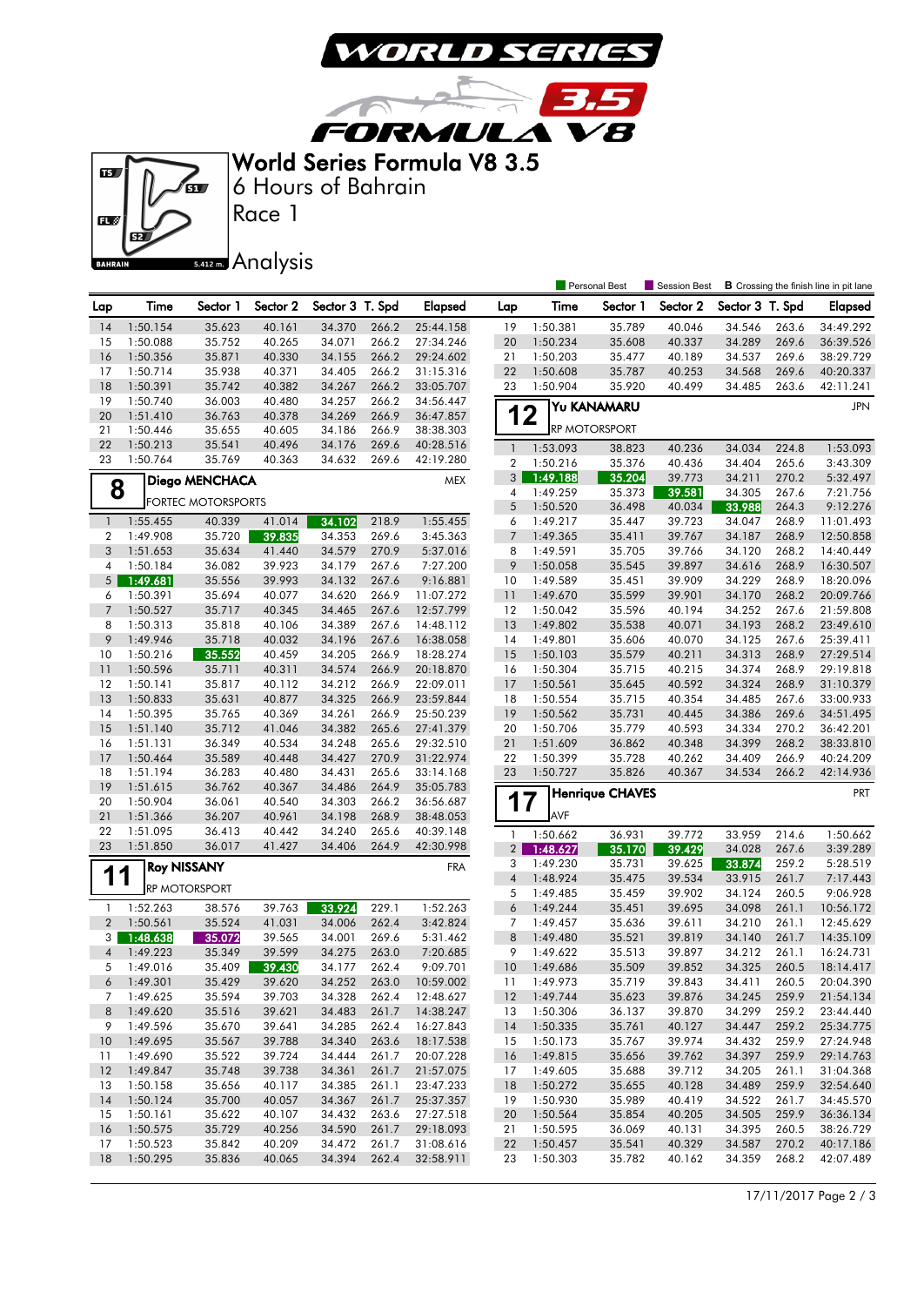

3.5

**FORMULA V8** World Series Formula V8 3.5

 $\sqrt{2}$ 



Race 1 6 Hours of Bahrain

## **5.412m.** Analysis

|                   |                      |                           |                  |                  |                |                        |                     |                      | Personal Best          | Session Best     |                  |                | <b>B</b> Crossing the finish line in pit lane |
|-------------------|----------------------|---------------------------|------------------|------------------|----------------|------------------------|---------------------|----------------------|------------------------|------------------|------------------|----------------|-----------------------------------------------|
| Lap               | Time                 | Sector 1                  | Sector 2         | Sector 3 T. Spd  |                | <b>Elapsed</b>         | Lap                 | Time                 | Sector 1               | Sector 2         | Sector 3 T. Spd  |                | <b>Elapsed</b>                                |
| 14                | 1:50.154             | 35.623                    | 40.161           | 34.370           | 266.2          | 25:44.158              | 19                  | 1:50.381             | 35.789                 | 40.046           | 34.546           | 263.6          | 34:49.292                                     |
| 15                | 1:50.088             | 35.752                    | 40.265           | 34.071           | 266.2          | 27:34.246              | 20                  | 1:50.234             | 35.608                 | 40.337           | 34.289           | 269.6          | 36:39.526                                     |
| 16                | 1:50.356             | 35.871                    | 40.330           | 34.155           | 266.2          | 29:24.602              | 21                  | 1:50.203             | 35.477                 | 40.189           | 34.537           | 269.6          | 38:29.729                                     |
| 17                | 1:50.714             | 35.938                    | 40.371           | 34.405           | 266.2          | 31:15.316              | 22                  | 1:50.608             | 35.787                 | 40.253           | 34.568           | 269.6          | 40:20.337                                     |
| 18                | 1:50.391             | 35.742                    | 40.382           | 34.267           | 266.2          | 33:05.707              | 23                  | 1:50.904             | 35.920                 | 40.499           | 34.485           | 263.6          | 42:11.241                                     |
| 19<br>20          | 1:50.740<br>1:51.410 | 36.003<br>36.763          | 40.480<br>40.378 | 34.257<br>34.269 | 266.2<br>266.9 | 34:56.447              | 12                  |                      | Yu KANAMARU            |                  |                  |                | <b>JPN</b>                                    |
| 21                | 1:50.446             | 35.655                    | 40.605           | 34.186           | 266.9          | 36:47.857<br>38:38.303 |                     |                      | RP MOTORSPORT          |                  |                  |                |                                               |
| 22                | 1:50.213             | 35.541                    | 40.496           | 34.176           | 269.6          | 40:28.516              | $\mathbf{1}$        | 1:53.093             | 38.823                 | 40.236           | 34.034           | 224.8          | 1:53.093                                      |
| 23                | 1:50.764             | 35.769                    | 40.363           | 34.632           | 269.6          | 42:19.280              | $\boldsymbol{2}$    | 1:50.216             | 35.376                 | 40.436           | 34.404           | 265.6          | 3:43.309                                      |
|                   |                      | Diego MENCHACA            |                  |                  |                | <b>MEX</b>             | 3                   | 1:49.188             | 35.204                 | 39.773           | 34.211           | 270.2          | 5:32.497                                      |
| 8                 |                      | <b>FORTEC MOTORSPORTS</b> |                  |                  |                |                        | 4                   | 1:49.259             | 35.373                 | 39.581           | 34.305           | 267.6          | 7:21.756                                      |
|                   |                      |                           |                  | 34.102           |                |                        | 5                   | 1:50.520             | 36.498                 | 40.034           | 33.988           | 264.3          | 9:12.276                                      |
| $\mathbf{1}$<br>2 | 1:55.455<br>1:49.908 | 40.339<br>35.720          | 41.014<br>39.835 | 34.353           | 218.9<br>269.6 | 1:55.455<br>3:45.363   | 6<br>$\overline{7}$ | 1:49.217<br>1:49.365 | 35.447<br>35.411       | 39.723<br>39.767 | 34.047<br>34.187 | 268.9<br>268.9 | 11:01.493<br>12:50.858                        |
| 3                 | 1:51.653             | 35.634                    | 41.440           | 34.579           | 270.9          | 5:37.016               | 8                   | 1:49.591             | 35.705                 | 39.766           | 34.120           | 268.2          | 14:40.449                                     |
| 4                 | 1:50.184             | 36.082                    | 39.923           | 34.179           | 267.6          | 7:27.200               | 9                   | 1:50.058             | 35.545                 | 39.897           | 34.616           | 268.9          | 16:30.507                                     |
| 5                 | 1:49.681             | 35.556                    | 39.993           | 34.132           | 267.6          | 9:16.881               | 10                  | 1:49.589             | 35.451                 | 39.909           | 34.229           | 268.9          | 18:20.096                                     |
| 6                 | 1:50.391             | 35.694                    | 40.077           | 34.620           | 266.9          | 11:07.272              | $\overline{11}$     | 1:49.670             | 35.599                 | 39.901           | 34.170           | 268.2          | 20:09.766                                     |
| 7                 | 1:50.527             | 35.717                    | 40.345           | 34.465           | 267.6          | 12:57.799              | 12                  | 1:50.042             | 35.596                 | 40.194           | 34.252           | 267.6          | 21:59.808                                     |
| 8                 | 1:50.313             | 35.818                    | 40.106           | 34.389           | 267.6          | 14:48.112              | <b>13</b>           | 1:49.802             | 35.538                 | 40.071           | 34.193           | 268.2          | 23:49.610                                     |
| 9                 | 1:49.946             | 35.718                    | 40.032           | 34.196           | 267.6          | 16:38.058              | 14                  | 1:49.801             | 35.606                 | 40.070           | 34.125           | 267.6          | 25:39.411                                     |
| 10                | 1:50.216             | 35.552                    | 40.459           | 34.205           | 266.9          | 18:28.274              | 15                  | 1:50.103             | 35.579                 | 40.211           | 34.313           | 268.9          | 27:29.514                                     |
| 11                | 1:50.596             | 35.711                    | 40.311           | 34.574           | 266.9          | 20:18.870              | 16                  | 1:50.304             | 35.715                 | 40.215           | 34.374           | 268.9          | 29:19.818                                     |
| 12                | 1:50.141             | 35.817                    | 40.112           | 34.212           | 266.9          | 22:09.011              | 17                  | 1:50.561             | 35.645                 | 40.592           | 34.324           | 268.9          | 31:10.379                                     |
| 13                | 1:50.833             | 35.631                    | 40.877           | 34.325           | 266.9          | 23:59.844              | 18                  | 1:50.554             | 35.715                 | 40.354           | 34.485           | 267.6          | 33:00.933                                     |
| 14                | 1:50.395             | 35.765                    | 40.369           | 34.261           | 266.9          | 25:50.239              | 19                  | 1:50.562             | 35.731                 | 40.445           | 34.386           | 269.6          | 34:51.495                                     |
| 15                | 1:51.140             | 35.712                    | 41.046           | 34.382           | 265.6          | 27:41.379              | 20                  | 1:50.706             | 35.779                 | 40.593           | 34.334           | 270.2          | 36:42.201                                     |
| 16<br>17          | 1:51.131<br>1:50.464 | 36.349<br>35.589          | 40.534<br>40.448 | 34.248<br>34.427 | 265.6<br>270.9 | 29:32.510<br>31:22.974 | 21<br>22            | 1:51.609<br>1:50.399 | 36.862<br>35.728       | 40.348<br>40.262 | 34.399<br>34.409 | 268.2<br>266.9 | 38:33.810<br>40:24.209                        |
| 18                | 1:51.194             | 36.283                    | 40.480           | 34.431           | 265.6          | 33:14.168              | 23                  | 1:50.727             | 35.826                 | 40.367           | 34.534           | 266.2          | 42:14.936                                     |
| 19                | 1:51.615             | 36.762                    | 40.367           | 34.486           | 264.9          | 35:05.783              |                     |                      |                        |                  |                  |                |                                               |
| 20                | 1:50.904             | 36.061                    | 40.540           | 34.303           | 266.2          | 36:56.687              | 1                   | $\overline{7}$       | <b>Henrique CHAVES</b> |                  |                  |                | <b>PRT</b>                                    |
| 21                | 1:51.366             | 36.207                    | 40.961           | 34.198           | 268.9          | 38:48.053              |                     | AVF                  |                        |                  |                  |                |                                               |
| 22                | 1:51.095             | 36.413                    | 40.442           | 34.240           | 265.6          | 40:39.148              | 1                   | 1:50.662             | 36.931                 | 39.772           | 33.959           | 214.6          | 1:50.662                                      |
| 23                | 1:51.850             | 36.017                    | 41.427           | 34.406           | 264.9          | 42:30.998              | $\overline{2}$      | 1:48.627             | 35.170                 | 39.429           | 34.028           | 267.6          | 3:39.289                                      |
|                   |                      | <b>Roy NISSANY</b>        |                  |                  |                | <b>FRA</b>             | 3                   | 1:49.230             | 35.731                 | 39.625           | 33.874           | 259.2          | 5:28.519                                      |
| 11                |                      |                           |                  |                  |                |                        | $\sqrt{4}$          | 1:48.924             | 35.475                 | 39.534           | 33.915           | 261.7          | 7:17.443                                      |
|                   |                      | <b>RP MOTORSPORT</b>      |                  |                  |                |                        | 5                   | 1:49.485             | 35.459                 | 39.902           | 34.124           | 260.5          | 9:06.928                                      |
| 1                 | 1:52.263             | 38.576                    | 39.763           | 33.924           | 229.1          | 1:52.263               | 6                   | 1:49.244             | 35.451                 | 39.695           | 34.098           | 261.1          | 10:56.172                                     |
| $\overline{2}$    | 1:50.561             | 35.524                    | 41.031           | 34.006           | 262.4          | 3:42.824               | 7                   | 1:49.457             | 35.636                 | 39.611           | 34.210           | 261.1          | 12:45.629                                     |
| 3                 | 1:48.638             | 35.072                    | 39.565           | 34.001           | 269.6          | 5:31.462               | 8                   | 1:49.480             | 35.521                 | 39.819           | 34.140           | 261.7          | 14:35.109                                     |
| 4                 | 1:49.223             | 35.349                    | 39.599           | 34.275           | 263.0          | 7:20.685               | 9                   | 1:49.622             | 35.513                 | 39.897           | 34.212           | 261.1          | 16:24.731                                     |
| 5                 | 1:49.016             | 35.409                    | 39.430           | 34.177           | 262.4          | 9:09.701               | 10                  | 1:49.686             | 35.509                 | 39.852           | 34.325           | 260.5          | 18:14.417                                     |
| 6                 | 1:49.301<br>1:49.625 | 35.429<br>35.594          | 39.620<br>39.703 | 34.252<br>34.328 | 263.0<br>262.4 | 10:59.002<br>12:48.627 | 11                  | 1:49.973             | 35.719<br>35.623       | 39.843<br>39.876 | 34.411<br>34.245 | 260.5<br>259.9 | 20:04.390                                     |
| 7<br>8            | 1:49.620             | 35.516                    | 39.621           | 34.483           | 261.7          | 14:38.247              | $ 12\rangle$<br>13  | 1:49.744<br>1:50.306 | 36.137                 | 39.870           | 34.299           | 259.2          | 21:54.134<br>23:44.440                        |
| 9                 | 1:49.596             | 35.670                    | 39.641           | 34.285           | 262.4          | 16:27.843              | 14                  | 1:50.335             | 35.761                 | 40.127           | 34.447           | 259.2          | 25:34.775                                     |
| 10                | 1:49.695             | 35.567                    | 39.788           | 34.340           | 263.6          | 18:17.538              | 15                  | 1:50.173             | 35.767                 | 39.974           | 34.432           | 259.9          | 27:24.948                                     |
| 11                | 1:49.690             | 35.522                    | 39.724           | 34.444           | 261.7          | 20:07.228              | - 16                | 1:49.815             | 35.656                 | 39.762           | 34.397           | 259.9          | 29:14.763                                     |
| 12                | 1:49.847             | 35.748                    | 39.738           | 34.361           | 261.7          | 21:57.075              | 17                  | 1:49.605             | 35.688                 | 39.712           | 34.205           | 261.1          | 31:04.368                                     |
| 13                | 1:50.158             | 35.656                    | 40.117           | 34.385           | 261.1          | 23:47.233              | - 18                | 1:50.272             | 35.655                 | 40.128           | 34.489           | 259.9          | 32:54.640                                     |
| 14                | 1:50.124             | 35.700                    | 40.057           | 34.367           | 261.7          | 25:37.357              | 19                  | 1:50.930             | 35.989                 | 40.419           | 34.522           | 261.7          | 34:45.570                                     |
| 15                | 1:50.161             | 35.622                    | 40.107           | 34.432           | 263.6          | 27:27.518              | 20                  | 1:50.564             | 35.854                 | 40.205           | 34.505           | 259.9          | 36:36.134                                     |
| 16                | 1:50.575             | 35.729                    | 40.256           | 34.590           | 261.7          | 29:18.093              | 21                  | 1:50.595             | 36.069                 | 40.131           | 34.395           | 260.5          | 38:26.729                                     |
| 17                | 1:50.523             | 35.842                    | 40.209           | 34.472           | 261.7          | 31:08.616              | 22                  | 1:50.457             | 35.541                 | 40.329           | 34.587           | 270.2          | 40:17.186                                     |
| 18                | 1:50.295             | 35.836                    | 40.065           | 34.394           | 262.4          | 32:58.911              | 23                  | 1:50.303             | 35.782                 | 40.162           | 34.359           | 268.2          | 42:07.489                                     |

17/11/2017 Page 2 / 3